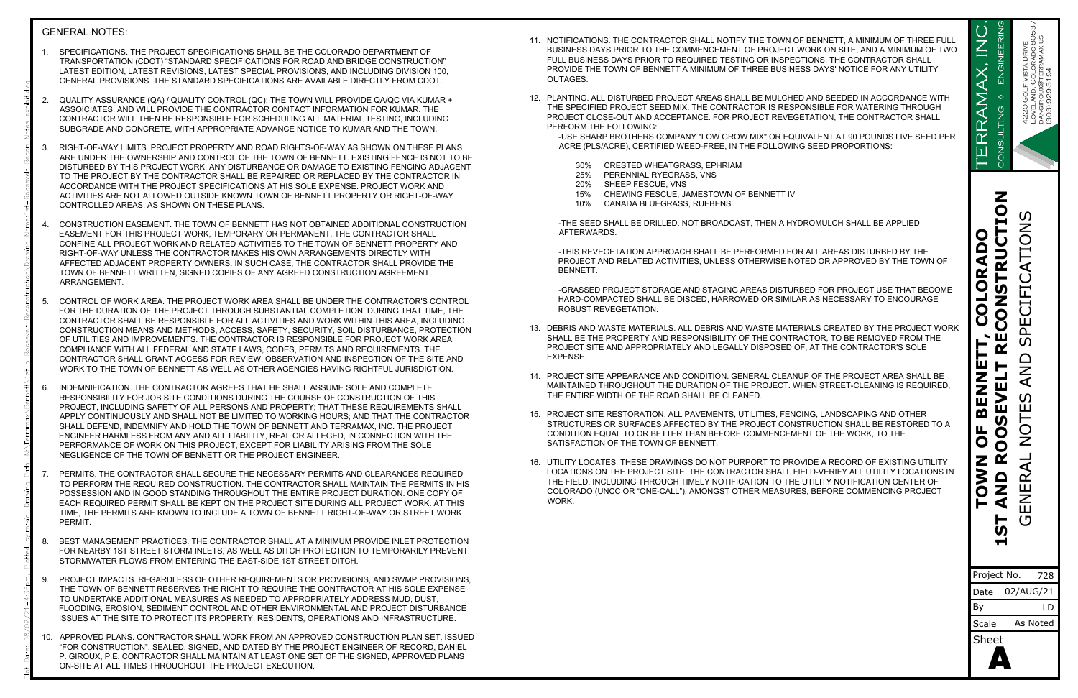## GENERAL NOTES:

- GENERAL NOTES:<br>1. SPECIFICATIONS. THE PROJECT SPECIFICATIONS SHALL BE THE COLORADO DEPARTMENT OF<br>TRANSPORTATION (CDOT) "STANDARD SPECIFICATIONS FOR ROAD AND BRIDGE CONSTRUCTION"<br>LATEST EDITION, LATEST REVISIONS, LATEST SPE TRANSPORTATION (CDOT) "STANDARD SPECIFICATIONS FOR ROAD AND BRIDGE CONSTRUCTION" LATEST EDITION, LATEST REVISIONS, LATEST SPECIAL PROVISIONS, AND INCLUDING DIVISION 100, GENERAL PROVISIONS. THE STANDARD SPECIFICATIONS ARE AVAILABLE DIRECTLY FROM CDOT. CENERAL NOTES:<br>2. SPECIFICATIONS. THE PROJECT SPECIFICATIONS SHALL BE THE COLORADO DEPARTMENT OF<br>2. TRANSPORTATION (CDOT) "STANDARD SPECIFICATIONS FOR ROAD AND BRIDGE CONSTRUCTION"<br>LATEST EDITION, LATEST REVISIONS, LATEST
- ASSOICIATES, AND WILL PROVIDE THE CONTRACTOR CONTACT INFORMATION FOR KUMAR. THE CONTRACTOR WILL THEN BE RESPONSIBLE FOR SCHEDULING ALL MATERIAL TESTING, INCLUDING SUBGRADE AND CONCRETE, WITH APPROPRIATE ADVANCE NOTICE TO KUMAR AND THE TOWN.
- 1. SPECIFICATIONS. THE PROJECT SPECIFICATIONS SHALL BE THE COLORADO DEPARTMENT OF<br>TRANSPORTATION (CDOT) "STANDARD SPECIFICATIONS FOR ROAD AND BRIDGE CONSTRUCTION"<br>LATEST EDITION, LATEST REVISIONS, LATEST SPECIAL PROVISIONS ARE UNDER THE OWNERSHIP AND CONTROL OF THE TOWN OF BENNETT. EXISTING FENCE IS NOT TO BE DISTURBED BY THIS PROJECT WORK. ANY DISTURBANCE OR DAMAGE TO EXISTING FENCING ADJACENT TO THE PROJECT BY THE CONTRACTOR SHALL BE REPAIRED OR REPLACED BY THE CONTRACTOR IN ACCORDANCE WITH THE PROJECT SPECIFICATIONS AT HIS SOLE EXPENSE. PROJECT WORK AND ACTIVITIES ARE NOT ALLOWED OUTSIDE KNOWN TOWN OF BENNETT PROPERTY OR RIGHT-OF-WAY CONTROLLED AREAS, AS SHOWN ON THESE PLANS. SUBGRADE AND CONCRETE, WITH APPROPRIATE ADVANCE NOTICE TO KUMAR AND THE TOWN.<br>
ARE UNDER THE OWNERSHIP AND CONTROL OF THE TOWN OF BENNETT. EXISTING FENCE IS NOT TO BE<br>
DISTURBED BY THIS PROJECT WORK. ANY DISTURBANCE OR DAM
- EASEMENT FOR THIS PROJECT WORK, TEMPORARY OR PERMANENT. THE CONTRACTOR SHALL CONFINE ALL PROJECT WORK AND RELATED ACTIVITIES TO THE TOWN OF BENNETT PROPERTY AND RIGHT-OF-WAY UNLESS THE CONTRACTOR MAKES HIS OWN ARRANGEMENTS DIRECTLY WITH AFFECTED ADJACENT PROPERTY OWNERS. IN SUCH CASE, THE CONTRACTOR SHALL PROVIDE THE TOWN OF BENNETT WRITTEN, SIGNED COPIES OF ANY AGREED CONSTRUCTION AGREEMENT ARRANGEMENT. CONTROLLED AREAS, AS SHOWN ON THESE PLANS.<br>
4. CONSTRUCTION EASEMENT. THE TOWN OF BENNETT HAS NOT OBTAINED ADDITIONAL CONSTRUCTION<br>
EASEMENT FOR THIS PROJECT WORK, TEMPORARY OR PERMANENT. THE CONTRACTOR SHALL<br>
CONTINE ALL
- FOR THE DURATION OF THE PROJECT THROUGH SUBSTANTIAL COMPLETION. DURING THAT TIME, THE CONTRACTOR SHALL BE RESPONSIBLE FOR ALL ACTIVITIES AND WORK WITHIN THIS AREA, INCLUDING<br>CONSTRUCTION MEANS AND METHODS, ACCESS, SAEETY, SECURITY, SOIL DISTURBANCE, PROTECTION, \_\_\_\_\_\_\_\_\_\_\_\_\_\_\_\_\_\_\_\_\_\_ CONSTRUCTION MEANS AND METHODS, ACCESS, SAFETY, SECURITY, SOIL DISTURBANCE, PROTECTION OF UTILITIES AND IMPROVEMENTS. THE CONTRACTOR IS RESPONSIBLE FOR PROJECT WORK AREA COMPLIANCE WITH ALL FEDERAL AND STATE LAWS, CODES, PERMITS AND REQUIREMENTS. THE CONTRACTOR SHALL GRANT ACCESS FOR REVIEW, OBSERVATION AND INSPECTION OF THE SITE AND WORK TO THE TOWN OF BENNETT AS WELL AS OTHER AGENCIES HAVING RIGHTFUL JURISDICTION. 5. CONTROL OF WORK AREA. THE PROJECT WORK AREA SHALL BE UNDER THE CONTRACTOR'S CONTROL<br>FOR THE DURATION OF THE PROJECT THROUGH SUBSTANTIAL COMPLETION. DURING THAT TIME, THE<br>CONTRACTOR SHALL BE RESPONSIBLE FOR ALL ACTIVITIE
- RESPONSIBILITY FOR JOB SITE CONDITIONS DURING THE COURSE OF CONSTRUCTION OF THIS PROJECT, INCLUDING SAFETY OF ALL PERSONS AND PROPERTY; THAT THESE REQUIREMENTS SHALL<br>APPLY CONTINUOUSLY AND SHALL NOT BE LIMITED TO WORKING HOURS: AND THAT THE CONTRACTOR [15]. PROJECT SITE RESTORATION, ALL PAVEMENTS, UTIL APPLY CONTINUOUSLY AND SHALL NOT BE LIMITED TO WORKING HOURS; AND THAT THE CONTRACTOR SHALL DEFEND, INDEMNIFY AND HOLD THE TOWN OF BENNETT AND TERRAMAX, INC. THE PROJECT ENGINEER HARMLESS FROM ANY AND ALL LIABILITY, REAL OR ALLEGED, IN CONNECTION WITH THE PERFORMANCE OF WORK ON THIS PROJECT, EXCEPT FOR LIABILITY ARISING FROM THE SOLE NEGLIGENCE OF THE TOWN OF BENNETT OR THE PROJECT ENGINEER. 6. INDEMNIFICATION. THE CONTRACTOR AGREES THAT HE SHALL ASSUME SOLE AND COMPLETE<br>
RESPONSIBILITY FOR JOB SITE CONDITIONS DURING THE COURSE OF CONSTRUCTION OF THIS<br>
PROJECT, INCLUDING SAFETY OF ALL PERSONS AND PROPERTY; THA
- TO PERFORM THE REQUIRED CONSTRUCTION. THE CONTRACTOR SHALL MAINTAIN THE PERMITS IN HIS POSSESSION AND IN GOOD STANDING THROUGHOUT THE ENTIRE PROJECT DURATION. ONE COPY OF EACH REQUIRED PERMIT SHALL BE KEPT ON THE PROJECT SITE DURING ALL PROJECT WORK. AT THIS TIME, THE PERMITS ARE KNOWN TO INCLUDE A TOWN OF BENNETT RIGHT-OF-WAY OR STREET WORK PERMIT. PERFORMANCE OF WORK ON THIS PROJECT, EXCEPT FOR LIABILITY ARISING FROM THE SOLE<br>
TO PERITITS. THE CONTRACTOR SHALL SECURE THE NECESSARY PERMITS AND CLEARANCES REQUIRED<br>
TO PERFORM THE REQUIRED CONSTRUCTION. THE CONTRACTOR TO PERFORM THE REQUIRED CONSTRUCTION. THE CONTRACTOR SHALL MAINTAIN THE PERMITS IN HIS<br>POSSESSION AND IN GOOD STANDING THROUGHOUT THE ENTIRE PROJECT DURATION. ONE COPY OF<br>EACH REQUIRED PERMIT SHALL BE KEPT ON THE PROJECT S
- FOR NEARBY 1ST STREET STORM INLETS, AS WELL AS DITCH PROTECTION TO TEMPORARILY PREVENT STORMWATER FLOWS FROM ENTERING THE EAST-SIDE 1ST STREET DITCH.
- THE TOWN OF BENNETT RESERVES THE RIGHT TO REQUIRE THE CONTRACTOR AT HIS SOLE EXPENSE TO UNDERTAKE ADDITIONAL MEASURES AS NEEDED TO APPROPRIATELY ADDRESS MUD, DUST, FLOODING, EROSION, SEDIMENT CONTROL AND OTHER ENVIRONMENTAL AND PROJECT DISTURBANCE ISSUES AT THE SITE TO PROTECT ITS PROPERTY, RESIDENTS, OPERATIONS AND INFRASTRUCTURE. 8. BEST MANAGEMENT PRACTICES. THE CONTRACTOR SHALL AT A MINIMUM PROVIDE INLET PROTECTION<br>FOR NEARBY 1ST STREET STORM INLETS, AS WELL AS DITCH PROTECTION TO TEMPORARILY PREVENT<br>STORMWATER FLOWS FROM ENTERING THE EAST-SIDE 1
- "FOR CONSTRUCTION", SEALED, SIGNED, AND DATED BY THE PROJECT ENGINEER OF RECORD, DANIEL P. GIROUX, P.E. CONTRACTOR SHALL MAINTAIN AT LEAST ONE SET OF THE SIGNED, APPROVED PLANS ON-SITE AT ALL TIMES THROUGHOUT THE PROJECT EXECUTION.
- 11. NOTIFICATIONS. THE CONTRACTOR SHALL NOTIFY THE TOWN OF BENNETT, A MINIMUM OF THREE FULL<br>BUSINESS DAYS PRIOR TO THE COMMENCEMENT OF PROJECT WORK ON SITE, AND A MINIMUM OF TWO<br>FULL BUSINESS DAYS PRIOR TO REQUIRED TESTING BUSINESS DAYS PRIOR TO THE COMMENCEMENT OF PROJECT WORK ON SITE, AND A MINIMUM OF TWO FULL BUSINESS DAYS PRIOR TO REQUIRED TESTING OR INSPECTIONS. THE CONTRACTOR SHALL PROVIDE THE TOWN OF BENNETT A MINIMUM OF THREE BUSINESS DAYS' NOTICE FOR ANY UTILITY OUTAGES. 11. NOTIFICATIONS. THE CONTRACTOR SHALL NOTIFY THE TOWN OF BENNETT, A MINIMUM OF THREE FULL<br>
BUSINESS DAYS PRIOR TO THE COMMENCEMENT OF PROJECT WORK ON SITE, AND A MINIMUM OF TWO<br>
FULL BUSINESS DAYS PRIOR TO REQUIRED TEST
- THE SPECIFIED PROJECT SEED MIX. THE CONTRACTOR IS RESPONSIBLE FOR WATERING THROUGH PROJECT CLOSE-OUT AND ACCEPTANCE. FOR PROJECT REVEGETATION, THE CONTRACTOR SHALL PERFORM THE FOLLOWING: DE THE TOWN OF BENNETT A MINIMUM OF THREE BUSINESS DAYS' NOT ES.<br>
ES.<br>
NG. ALL DISTURBED PROJECT AREAS SHALL BE MULCHED AND SEED<br>
ECIFIED PROJECT SEED MIX. THE CONTRACTOR IS RESPONSIBLE FC<br>
FIT CLOSE-OUT AND ACCEPTANCE. FO ES.<br>NG. ALL DISTURBED PROJECT AREAS SHALL BE MULCHEI<br>ECIFIED PROJECT SEED MIX. THE CONTRACTOR IS RESP<br>CT CLOSE-OUT AND ACCEPTANCE. FOR PROJECT REVEG<br>RM THE FOLLOWING:<br>E SHARP BROTHERS COMPANY "LOW GROW MIX" OR EQU<br>E (PLS/A NG. ALL DISTURBED PROJECT AREAS SHALL BE M<br>ECIFIED PROJECT SEED MIX. THE CONTRACTOR I<br>CT CLOSE-OUT AND ACCEPTANCE. FOR PROJECT<br>RM THE FOLLOWING:<br>E SHARP BROTHERS COMPANY "LOW GROW MIX"<br>E (PLS/ACRE), CERTIFIED WEED-FREE, IN NG. ALL DISTURBED PROJECT AREAS SHALL BE MULCHED AND SEEDED IN AGECIFIED PROJECT SEED MIX. THE CONTRACTOR IS RESPONSIBLE FOR WATE<br>CT CLOSE-OUT AND ACCEPTANCE. FOR PROJECT REVEGETATION, THE CONT<br>RM THE FOLLOWING:<br>E SHARP BR ECIFIED PROJECT SEED MIX. THE CONTRACTOR IS RESPONS<br>CT CLOSE-OUT AND ACCEPTANCE. FOR PROJECT REVEGETA<br>RM THE FOLLOWING:<br>E SHARP BROTHERS COMPANY "LOW GROW MIX" OR EQUIVAL<br>E (PLS/ACRE), CERTIFIED WEED-FREE, IN THE FOLLOWING

| NOTIFICATIONS. THE CONTRACTOR SHALL NOTIFY THE TOWN OF BENNETT, A MINIMUM OF THREE FULL<br>BUSINESS DAYS PRIOR TO THE COMMENCEMENT OF PROJECT WORK ON SITE, AND A MINIMUM OF TWO<br>FULL BUSINESS DAYS PRIOR TO REQUIRED TESTING OR INSPECTIONS. THE CONTRACTOR SHALL<br>PROVIDE THE TOWN OF BENNETT A MINIMUM OF THREE BUSINESS DAYS' NOTICE FOR ANY UTILITY<br>OUTAGES.<br>PLANTING. ALL DISTURBED PROJECT AREAS SHALL BE MULCHED AND SEEDED IN ACCORDANCE WITH<br>THE SPECIFIED PROJECT SEED MIX. THE CONTRACTOR IS RESPONSIBLE FOR WATERING THROUGH<br>PROJECT CLOSE-OUT AND ACCEPTANCE. FOR PROJECT REVEGETATION, THE CONTRACTOR SHALL<br>PERFORM THE FOLLOWING:<br>-USE SHARP BROTHERS COMPANY "LOW GROW MIX" OR EQUIVALENT AT 90 POUNDS LIVE SEED PER<br>ACRE (PLS/ACRE), CERTIFIED WEED-FREE, IN THE FOLLOWING SEED PROPORTIONS:<br>30% CRESTED WHEATGRASS, EPHRIAM<br>25% PERENNIAL RYEGRASS, VNS                                                                                                                                                                                                                                                                                                                                                                                                                                                                                                                                                                                                                                                                                                                                                                                                                                                                                    | GINEERIN<br>$\circ$<br>$\bar{Z}$<br>--veland, Colorado 80;<br>Dangiroux@terramax.us<br>(303) 929-3194<br>CONSULTING<br>$\overline{\blacktriangleleft}$<br>$\widetilde{\mathbf{R}}$<br>$\overline{\mathbf{C}}$                                                                                                                                                              |
|-----------------------------------------------------------------------------------------------------------------------------------------------------------------------------------------------------------------------------------------------------------------------------------------------------------------------------------------------------------------------------------------------------------------------------------------------------------------------------------------------------------------------------------------------------------------------------------------------------------------------------------------------------------------------------------------------------------------------------------------------------------------------------------------------------------------------------------------------------------------------------------------------------------------------------------------------------------------------------------------------------------------------------------------------------------------------------------------------------------------------------------------------------------------------------------------------------------------------------------------------------------------------------------------------------------------------------------------------------------------------------------------------------------------------------------------------------------------------------------------------------------------------------------------------------------------------------------------------------------------------------------------------------------------------------------------------------------------------------------------------------------------------------------------------|----------------------------------------------------------------------------------------------------------------------------------------------------------------------------------------------------------------------------------------------------------------------------------------------------------------------------------------------------------------------------|
| SHEEP FESCUE, VNS<br>20%<br>CHEWING FESCUE, JAMESTOWN OF BENNETT IV<br>15%<br>CANADA BLUEGRASS, RUEBENS<br>10%<br>-THE SEED SHALL BE DRILLED, NOT BROADCAST, THEN A HYDROMULCH SHALL BE APPLIED<br>AFTERWARDS.<br>-THIS REVEGETATION APPROACH SHALL BE PERFORMED FOR ALL AREAS DISTURBED BY THE<br>PROJECT AND RELATED ACTIVITIES, UNLESS OTHERWISE NOTED OR APPROVED BY THE TOWN OF<br>BENNETT.<br>-GRASSED PROJECT STORAGE AND STAGING AREAS DISTURBED FOR PROJECT USE THAT BECOME<br>HARD-COMPACTED SHALL BE DISCED, HARROWED OR SIMILAR AS NECESSARY TO ENCOURAGE<br>ROBUST REVEGETATION.<br>DEBRIS AND WASTE MATERIALS. ALL DEBRIS AND WASTE MATERIALS CREATED BY THE PROJECT WORK<br>SHALL BE THE PROPERTY AND RESPONSIBILITY OF THE CONTRACTOR, TO BE REMOVED FROM THE<br>PROJECT SITE AND APPROPRIATELY AND LEGALLY DISPOSED OF, AT THE CONTRACTOR'S SOLE<br>EXPENSE.<br>PROJECT SITE APPEARANCE AND CONDITION. GENERAL CLEANUP OF THE PROJECT AREA SHALL BE<br>MAINTAINED THROUGHOUT THE DURATION OF THE PROJECT. WHEN STREET-CLEANING IS REQUIRED,<br>THE ENTIRE WIDTH OF THE ROAD SHALL BE CLEANED.<br>PROJECT SITE RESTORATION. ALL PAVEMENTS, UTILITIES, FENCING, LANDSCAPING AND OTHER<br>STRUCTURES OR SURFACES AFFECTED BY THE PROJECT CONSTRUCTION SHALL BE RESTORED TO A<br>CONDITION EQUAL TO OR BETTER THAN BEFORE COMMENCEMENT OF THE WORK, TO THE<br>SATISFACTION OF THE TOWN OF BENNETT.<br>UTILITY LOCATES. THESE DRAWINGS DO NOT PURPORT TO PROVIDE A RECORD OF EXISTING UTILITY<br>LOCATIONS ON THE PROJECT SITE. THE CONTRACTOR SHALL FIELD-VERIFY ALL UTILITY LOCATIONS IN<br>THE FIELD, INCLUDING THROUGH TIMELY NOTIFICATION TO THE UTILITY NOTIFICATION CENTER OF<br>COLORADO (UNCC OR "ONE-CALL"), AMONGST OTHER MEASURES, BEFORE COMMENCING PROJECT<br>WORK. | $\mathbf{Q}$<br>CATION<br>STRUCT<br>$\Box$<br>⋖<br>œ<br>O<br>口<br><b>NAO</b><br>$\blacksquare$<br>O<br>$\mathbf C$<br>巴<br>Щ<br><u>ທ</u><br><b>Z</b><br>QNA<br>Ζ<br>ш<br>Z<br>$\Omega$<br>Ш<br>ш<br>Ë<br>B<br><u>ທ</u><br>Щ<br>$\overline{Q}$<br><b>ROO</b><br>O<br>NNO<br>ENERAL<br>$\Omega$<br>Z<br>$\blacktriangleleft$<br>Ě<br>$\cup$<br>S)<br>Н<br>Project No.<br>728 |
|                                                                                                                                                                                                                                                                                                                                                                                                                                                                                                                                                                                                                                                                                                                                                                                                                                                                                                                                                                                                                                                                                                                                                                                                                                                                                                                                                                                                                                                                                                                                                                                                                                                                                                                                                                                               | 02/AUG/21<br>Date<br>By<br>LD<br>As Noted<br>Scale<br><b>Sheet</b>                                                                                                                                                                                                                                                                                                         |

- 
- 
- 
- 
- 

- SHALL BE THE PROPERTY AND RESPONSIBILITY OF THE CONTRACTOR, TO BE REMOVED FROM THE PROJECT SITE AND APPROPRIATELY AND LEGALLY DISPOSED OF, AT THE CONTRACTOR'S SOLE EXPENSE.
- MAINTAINED THROUGHOUT THE DURATION OF THE PROJECT. WHEN STREET-CLEANING IS REQUIRED, THE ENTIRE WIDTH OF THE ROAD SHALL BE CLEANED.
- 13. DEBRIS AND WASTE MATERIALS. ALL DEBRIS AND WASTE MATERIALS CREATED BY THE PROJECT WORK<br>
SHALL BE THE PROPERTY AND RESPONSIBILITY OF THE CONTRACTOR, TO BE REMOVED FROM THE<br>
PROJECT SITE AND APPROPRIATELY AND LEGALLY DIS STRUCTURES OR SURFACES AFFECTED BY THE PROJECT CONSTRUCTION SHALL BE RESTORED TO A CONDITION EQUAL TO OR BETTER THAN BEFORE COMMENCEMENT OF THE WORK, TO THE SATISFACTION OF THE TOWN OF BENNETT.
- 14. PROJECT SITE APPEARANCE AND CONDITION. GENERAL CLEANUP OF THE PROJECT AREA SHALL BE<br>
MAINTAINED THROUGHOUT THE DURATION OF THE PROJECT. WHEN STREET-CLEANING IS REQUIRED,<br>
THE ENTIRE WIDTH OF THE ROAD SHALL BE CLEANED.<br> LOCATIONS ON THE PROJECT SITE. THE CONTRACTOR SHALL FIELD-VERIFY ALL UTILITY LOCATIONS IN THE FIELD, INCLUDING THROUGH TIMELY NOTIFICATION TO THE UTILITY NOTIFICATION CENTER OF COLORADO (UNCC OR "ONE-CALL"), AMONGST OTHER MEASURES, BEFORE COMMENCING PROJECT